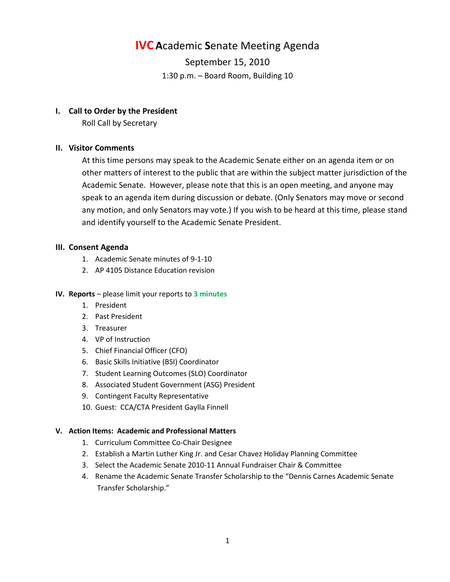# **IVC A**cademic **S**enate Meeting Agenda

September 15, 2010 1:30 p.m. – Board Room, Building 10

## **I. Call to Order by the President**

Roll Call by Secretary

# **II. Visitor Comments**

At this time persons may speak to the Academic Senate either on an agenda item or on other matters of interest to the public that are within the subject matter jurisdiction of the Academic Senate. However, please note that this is an open meeting, and anyone may speak to an agenda item during discussion or debate. (Only Senators may move or second any motion, and only Senators may vote.) If you wish to be heard at this time, please stand and identify yourself to the Academic Senate President.

# **III. Consent Agenda**

- 1. Academic Senate minutes of 9-1-10
- 2. AP 4105 Distance Education revision

## **IV. Reports** – please limit your reports to **3 minutes**

- 1. President
- 2. Past President
- 3. Treasurer
- 4. VP of Instruction
- 5. Chief Financial Officer (CFO)
- 6. Basic Skills Initiative (BSI) Coordinator
- 7. Student Learning Outcomes (SLO) Coordinator
- 8. Associated Student Government (ASG) President
- 9. Contingent Faculty Representative
- 10. Guest: CCA/CTA President Gaylla Finnell

## **V. Action Items: Academic and Professional Matters**

- 1. Curriculum Committee Co-Chair Designee
- 2. Establish a Martin Luther King Jr. and Cesar Chavez Holiday Planning Committee
- 3. Select the Academic Senate 2010-11 Annual Fundraiser Chair & Committee
- 4. Rename the Academic Senate Transfer Scholarship to the "Dennis Carnes Academic Senate Transfer Scholarship."